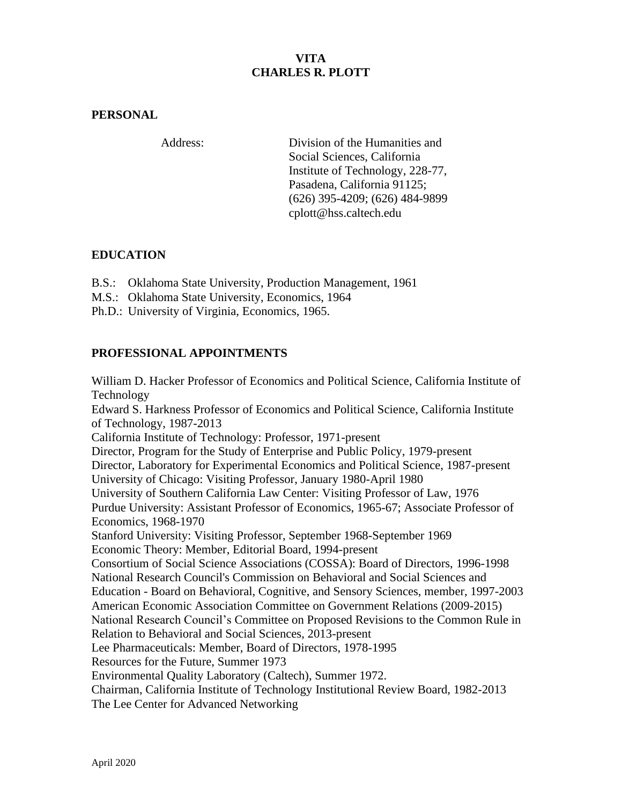## **VITA CHARLES R. PLOTT**

#### **PERSONAL**

Address: Division of the Humanities and Social Sciences, California Institute of Technology, 228-77, Pasadena, California 91125; (626) 395-4209; (626) 484-9899 cplott@hss.caltech.edu

### **EDUCATION**

B.S.: Oklahoma State University, Production Management, 1961

- M.S.: Oklahoma State University, Economics, 1964
- Ph.D.: University of Virginia, Economics, 1965.

### **PROFESSIONAL APPOINTMENTS**

William D. Hacker Professor of Economics and Political Science, California Institute of Technology Edward S. Harkness Professor of Economics and Political Science, California Institute of Technology, 1987-2013 California Institute of Technology: Professor, 1971-present Director, Program for the Study of Enterprise and Public Policy, 1979-present Director, Laboratory for Experimental Economics and Political Science, 1987-present University of Chicago: Visiting Professor, January 1980-April 1980 University of Southern California Law Center: Visiting Professor of Law, 1976 Purdue University: Assistant Professor of Economics, 1965-67; Associate Professor of Economics, 1968-1970 Stanford University: Visiting Professor, September 1968-September 1969 Economic Theory: Member, Editorial Board, 1994-present Consortium of Social Science Associations (COSSA): Board of Directors, 1996-1998 National Research Council's Commission on Behavioral and Social Sciences and Education - Board on Behavioral, Cognitive, and Sensory Sciences, member, 1997-2003 American Economic Association Committee on Government Relations (2009-2015) National Research Council's Committee on Proposed Revisions to the Common Rule in Relation to Behavioral and Social Sciences, 2013-present Lee Pharmaceuticals: Member, Board of Directors, 1978-1995 Resources for the Future, Summer 1973 Environmental Quality Laboratory (Caltech), Summer 1972. Chairman, California Institute of Technology Institutional Review Board, 1982-2013 The Lee Center for Advanced Networking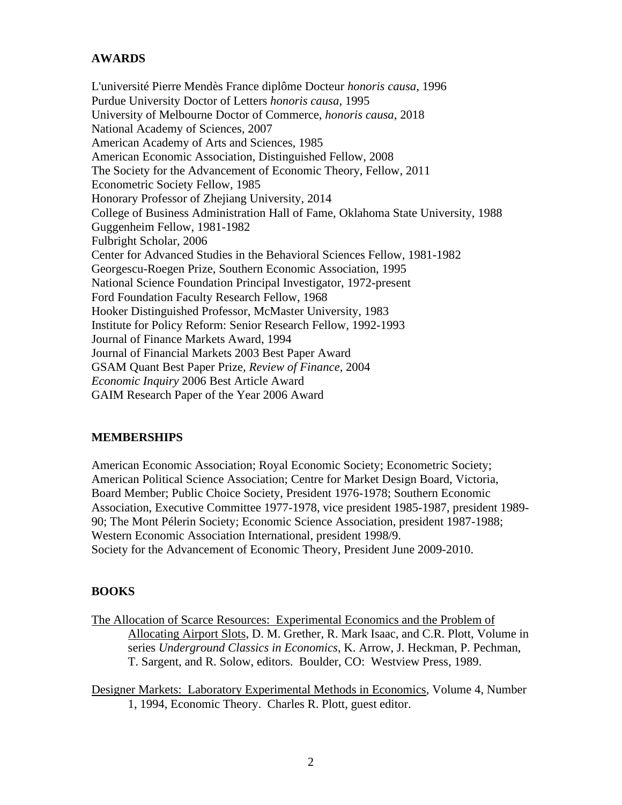### **AWARDS**

L'université Pierre Mendès France diplôme Docteur *honoris causa*, 1996 Purdue University Doctor of Letters *honoris causa*, 1995 University of Melbourne Doctor of Commerce, *honoris causa*, 2018 National Academy of Sciences, 2007 American Academy of Arts and Sciences, 1985 American Economic Association, Distinguished Fellow, 2008 The Society for the Advancement of Economic Theory, Fellow, 2011 Econometric Society Fellow, 1985 Honorary Professor of Zhejiang University, 2014 College of Business Administration Hall of Fame, Oklahoma State University, 1988 Guggenheim Fellow, 1981-1982 Fulbright Scholar, 2006 Center for Advanced Studies in the Behavioral Sciences Fellow, 1981-1982 Georgescu-Roegen Prize, Southern Economic Association, 1995 National Science Foundation Principal Investigator, 1972-present Ford Foundation Faculty Research Fellow, 1968 Hooker Distinguished Professor, McMaster University, 1983 Institute for Policy Reform: Senior Research Fellow, 1992-1993 Journal of Finance Markets Award, 1994 Journal of Financial Markets 2003 Best Paper Award GSAM Quant Best Paper Prize, *Review of Finance,* 2004 *Economic Inquiry* 2006 Best Article Award GAIM Research Paper of the Year 2006 Award

### **MEMBERSHIPS**

American Economic Association; Royal Economic Society; Econometric Society; American Political Science Association; Centre for Market Design Board, Victoria, Board Member; Public Choice Society, President 1976-1978; Southern Economic Association, Executive Committee 1977-1978, vice president 1985-1987, president 1989- 90; The Mont Pélerin Society; Economic Science Association, president 1987-1988; Western Economic Association International, president 1998/9. Society for the Advancement of Economic Theory, President June 2009-2010.

#### **BOOKS**

The Allocation of Scarce Resources: Experimental Economics and the Problem of Allocating Airport Slots, D. M. Grether, R. Mark Isaac, and C.R. Plott, Volume in series *Underground Classics in Economics*, K. Arrow, J. Heckman, P. Pechman, T. Sargent, and R. Solow, editors. Boulder, CO: Westview Press, 1989.

Designer Markets: Laboratory Experimental Methods in Economics, Volume 4, Number 1, 1994, Economic Theory. Charles R. Plott, guest editor.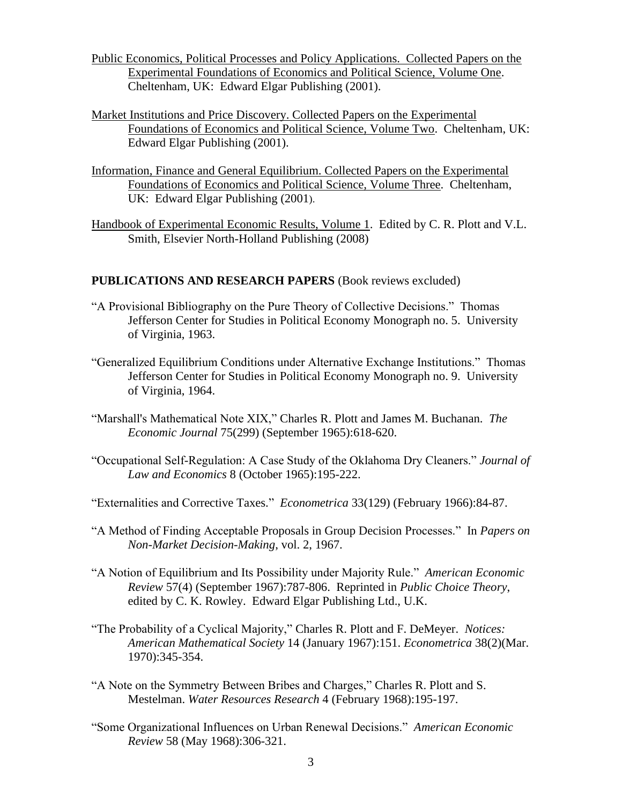- Public Economics, Political Processes and Policy Applications. Collected Papers on the Experimental Foundations of Economics and Political Science, Volume One. Cheltenham, UK: Edward Elgar Publishing (2001).
- Market Institutions and Price Discovery. Collected Papers on the Experimental Foundations of Economics and Political Science, Volume Two. Cheltenham, UK: Edward Elgar Publishing (2001).
- Information, Finance and General Equilibrium. Collected Papers on the Experimental Foundations of Economics and Political Science, Volume Three. Cheltenham, UK: Edward Elgar Publishing (2001).
- Handbook of Experimental Economic Results, Volume 1. Edited by C. R. Plott and V.L. Smith, Elsevier North-Holland Publishing (2008)

#### **PUBLICATIONS AND RESEARCH PAPERS** (Book reviews excluded)

- "A Provisional Bibliography on the Pure Theory of Collective Decisions." Thomas Jefferson Center for Studies in Political Economy Monograph no. 5. University of Virginia, 1963.
- "Generalized Equilibrium Conditions under Alternative Exchange Institutions." Thomas Jefferson Center for Studies in Political Economy Monograph no. 9. University of Virginia, 1964.
- "Marshall's Mathematical Note XIX," Charles R. Plott and James M. Buchanan. *The Economic Journal* 75(299) (September 1965):618-620.
- "Occupational Self-Regulation: A Case Study of the Oklahoma Dry Cleaners." *Journal of Law and Economics* 8 (October 1965):195-222.
- "Externalities and Corrective Taxes." *Econometrica* 33(129) (February 1966):84-87.
- "A Method of Finding Acceptable Proposals in Group Decision Processes." In *Papers on Non-Market Decision-Making*, vol. 2, 1967.
- "A Notion of Equilibrium and Its Possibility under Majority Rule." *American Economic Review* 57(4) (September 1967):787-806. Reprinted in *Public Choice Theory*, edited by C. K. Rowley. Edward Elgar Publishing Ltd., U.K.
- "The Probability of a Cyclical Majority," Charles R. Plott and F. DeMeyer. *Notices: American Mathematical Society* 14 (January 1967):151. *Econometrica* 38(2)(Mar. 1970):345-354.
- "A Note on the Symmetry Between Bribes and Charges," Charles R. Plott and S. Mestelman. *Water Resources Research* 4 (February 1968):195-197.
- "Some Organizational Influences on Urban Renewal Decisions." *American Economic Review* 58 (May 1968):306-321.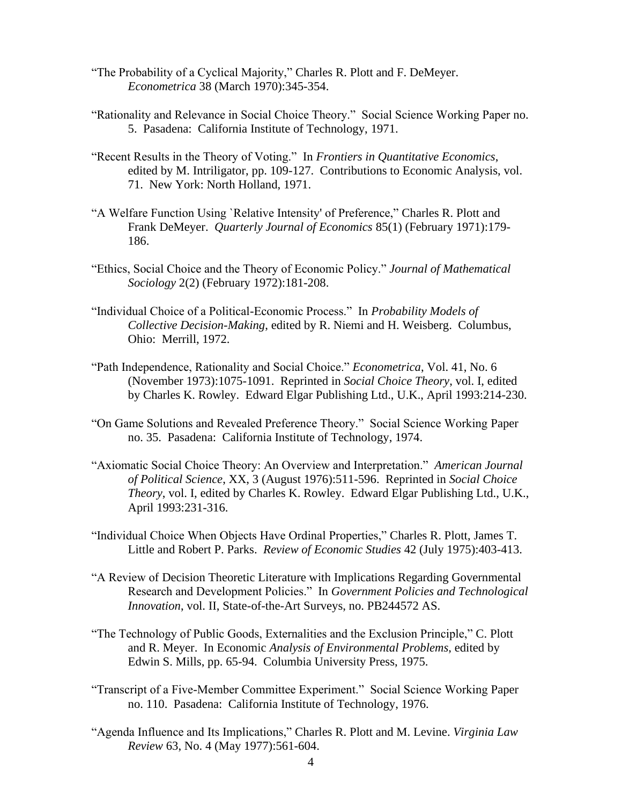- "The Probability of a Cyclical Majority," Charles R. Plott and F. DeMeyer. *Econometrica* 38 (March 1970):345-354.
- "Rationality and Relevance in Social Choice Theory." Social Science Working Paper no. 5. Pasadena: California Institute of Technology, 1971.
- "Recent Results in the Theory of Voting." In *Frontiers in Quantitative Economics*, edited by M. Intriligator, pp. 109-127. Contributions to Economic Analysis, vol. 71. New York: North Holland, 1971.
- "A Welfare Function Using `Relative Intensity' of Preference," Charles R. Plott and Frank DeMeyer. *Quarterly Journal of Economics* 85(1) (February 1971):179- 186.
- "Ethics, Social Choice and the Theory of Economic Policy." *Journal of Mathematical Sociology* 2(2) (February 1972):181-208.
- "Individual Choice of a Political-Economic Process." In *Probability Models of Collective Decision-Making*, edited by R. Niemi and H. Weisberg. Columbus, Ohio: Merrill, 1972.
- "Path Independence, Rationality and Social Choice." *Econometrica*, Vol. 41, No. 6 (November 1973):1075-1091. Reprinted in *Social Choice Theory*, vol. I, edited by Charles K. Rowley. Edward Elgar Publishing Ltd., U.K., April 1993:214-230.
- "On Game Solutions and Revealed Preference Theory." Social Science Working Paper no. 35. Pasadena: California Institute of Technology, 1974.
- "Axiomatic Social Choice Theory: An Overview and Interpretation." *American Journal of Political Science*, XX, 3 (August 1976):511-596. Reprinted in *Social Choice Theory*, vol. I, edited by Charles K. Rowley. Edward Elgar Publishing Ltd., U.K., April 1993:231-316.
- "Individual Choice When Objects Have Ordinal Properties," Charles R. Plott, James T. Little and Robert P. Parks. *Review of Economic Studies* 42 (July 1975):403-413.
- "A Review of Decision Theoretic Literature with Implications Regarding Governmental Research and Development Policies." In *Government Policies and Technological Innovation*, vol. II, State-of-the-Art Surveys, no. PB244572 AS.
- "The Technology of Public Goods, Externalities and the Exclusion Principle," C. Plott and R. Meyer. In Economic *Analysis of Environmental Problems*, edited by Edwin S. Mills, pp. 65-94. Columbia University Press, 1975.
- "Transcript of a Five-Member Committee Experiment." Social Science Working Paper no. 110. Pasadena: California Institute of Technology, 1976.
- "Agenda Influence and Its Implications," Charles R. Plott and M. Levine. *Virginia Law Review* 63, No. 4 (May 1977):561-604.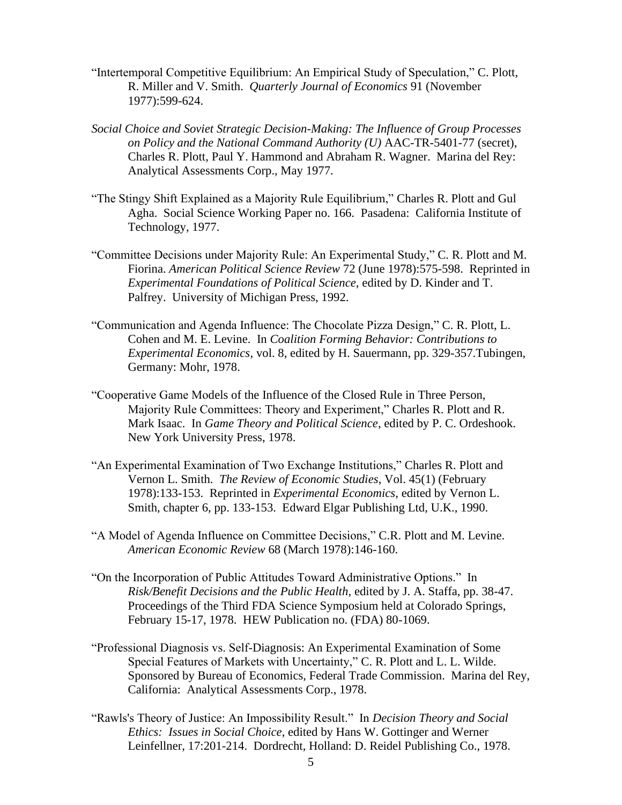- "Intertemporal Competitive Equilibrium: An Empirical Study of Speculation," C. Plott, R. Miller and V. Smith. *Quarterly Journal of Economics* 91 (November 1977):599-624.
- *Social Choice and Soviet Strategic Decision-Making: The Influence of Group Processes on Policy and the National Command Authority (U)* AAC-TR-5401-77 (secret), Charles R. Plott, Paul Y. Hammond and Abraham R. Wagner. Marina del Rey: Analytical Assessments Corp., May 1977.
- "The Stingy Shift Explained as a Majority Rule Equilibrium," Charles R. Plott and Gul Agha. Social Science Working Paper no. 166*.* Pasadena: California Institute of Technology, 1977.
- "Committee Decisions under Majority Rule: An Experimental Study," C. R. Plott and M. Fiorina. *American Political Science Review* 72 (June 1978):575-598. Reprinted in *Experimental Foundations of Political Science*, edited by D. Kinder and T. Palfrey. University of Michigan Press, 1992.
- "Communication and Agenda Influence: The Chocolate Pizza Design," C. R. Plott, L. Cohen and M. E. Levine. In *Coalition Forming Behavior: Contributions to Experimental Economics*, vol. 8, edited by H. Sauermann, pp. 329-357.Tubingen, Germany: Mohr, 1978.
- "Cooperative Game Models of the Influence of the Closed Rule in Three Person, Majority Rule Committees: Theory and Experiment," Charles R. Plott and R. Mark Isaac. In *Game Theory and Political Science*, edited by P. C. Ordeshook. New York University Press, 1978.
- "An Experimental Examination of Two Exchange Institutions," Charles R. Plott and Vernon L. Smith. *The Review of Economic Studies*, Vol. 45(1) (February 1978):133-153. Reprinted in *Experimental Economics*, edited by Vernon L. Smith, chapter 6, pp. 133-153. Edward Elgar Publishing Ltd, U.K., 1990.
- "A Model of Agenda Influence on Committee Decisions," C.R. Plott and M. Levine. *American Economic Review* 68 (March 1978):146-160.
- "On the Incorporation of Public Attitudes Toward Administrative Options." In *Risk/Benefit Decisions and the Public Health*, edited by J. A. Staffa, pp. 38-47. Proceedings of the Third FDA Science Symposium held at Colorado Springs, February 15-17, 1978. HEW Publication no. (FDA) 80-1069.
- "Professional Diagnosis vs. Self-Diagnosis: An Experimental Examination of Some Special Features of Markets with Uncertainty," C. R. Plott and L. L. Wilde. Sponsored by Bureau of Economics, Federal Trade Commission. Marina del Rey, California: Analytical Assessments Corp., 1978.
- "Rawls's Theory of Justice: An Impossibility Result." In *Decision Theory and Social Ethics: Issues in Social Choice*, edited by Hans W. Gottinger and Werner Leinfellner, 17:201-214. Dordrecht, Holland: D. Reidel Publishing Co., 1978.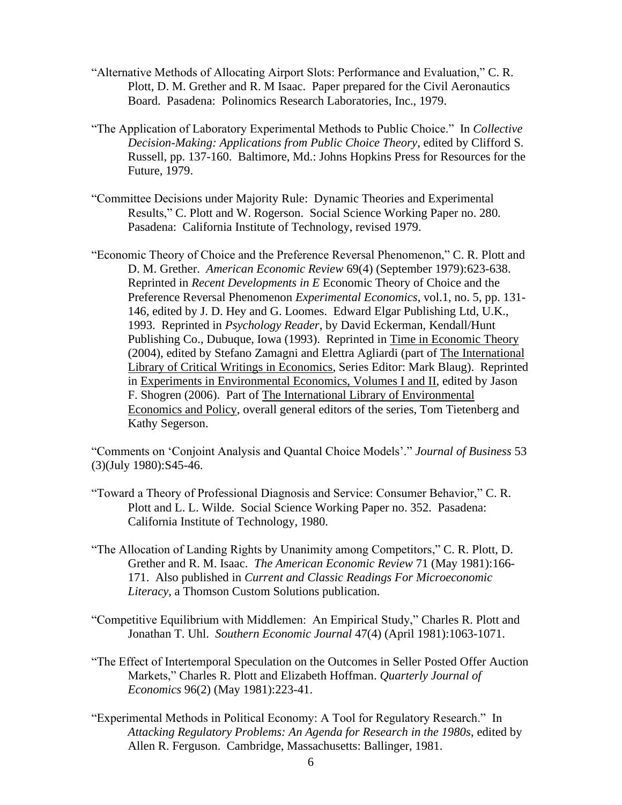- "Alternative Methods of Allocating Airport Slots: Performance and Evaluation," C. R. Plott, D. M. Grether and R. M Isaac. Paper prepared for the Civil Aeronautics Board. Pasadena: Polinomics Research Laboratories, Inc., 1979.
- "The Application of Laboratory Experimental Methods to Public Choice." In *Collective Decision-Making: Applications from Public Choice Theory*, edited by Clifford S. Russell, pp. 137-160. Baltimore, Md.: Johns Hopkins Press for Resources for the Future, 1979.
- "Committee Decisions under Majority Rule: Dynamic Theories and Experimental Results," C. Plott and W. Rogerson. Social Science Working Paper no. 280*.* Pasadena: California Institute of Technology, revised 1979.
- "Economic Theory of Choice and the Preference Reversal Phenomenon," C. R. Plott and D. M. Grether. *American Economic Review* 69(4) (September 1979):623-638. Reprinted in *Recent Developments in E* Economic Theory of Choice and the Preference Reversal Phenomenon *Experimental Economics*, vol.1, no. 5, pp. 131- 146, edited by J. D. Hey and G. Loomes. Edward Elgar Publishing Ltd, U.K., 1993. Reprinted in *Psychology Reader*, by David Eckerman, Kendall/Hunt Publishing Co., Dubuque, Iowa (1993). Reprinted in Time in Economic Theory (2004), edited by Stefano Zamagni and Elettra Agliardi (part of The International Library of Critical Writings in Economics, Series Editor: Mark Blaug). Reprinted in Experiments in Environmental Economics, Volumes I and II, edited by Jason F. Shogren (2006). Part of The International Library of Environmental Economics and Policy, overall general editors of the series, Tom Tietenberg and Kathy Segerson.

"Comments on 'Conjoint Analysis and Quantal Choice Models'." *Journal of Business* 53 (3)(July 1980):S45-46.

- "Toward a Theory of Professional Diagnosis and Service: Consumer Behavior," C. R. Plott and L. L. Wilde. Social Science Working Paper no. 352. Pasadena: California Institute of Technology, 1980.
- "The Allocation of Landing Rights by Unanimity among Competitors," C. R. Plott, D. Grether and R. M. Isaac. *The American Economic Review* 71 (May 1981):166- 171. Also published in *Current and Classic Readings For Microeconomic Literacy,* a Thomson Custom Solutions publication*.*
- "Competitive Equilibrium with Middlemen: An Empirical Study," Charles R. Plott and Jonathan T. Uhl. *Southern Economic Journal* 47(4) (April 1981):1063-1071.
- "The Effect of Intertemporal Speculation on the Outcomes in Seller Posted Offer Auction Markets," Charles R. Plott and Elizabeth Hoffman. *Quarterly Journal of Economics* 96(2) (May 1981):223-41.
- "Experimental Methods in Political Economy: A Tool for Regulatory Research." In *Attacking Regulatory Problems: An Agenda for Research in the 1980s*, edited by Allen R. Ferguson. Cambridge, Massachusetts: Ballinger, 1981.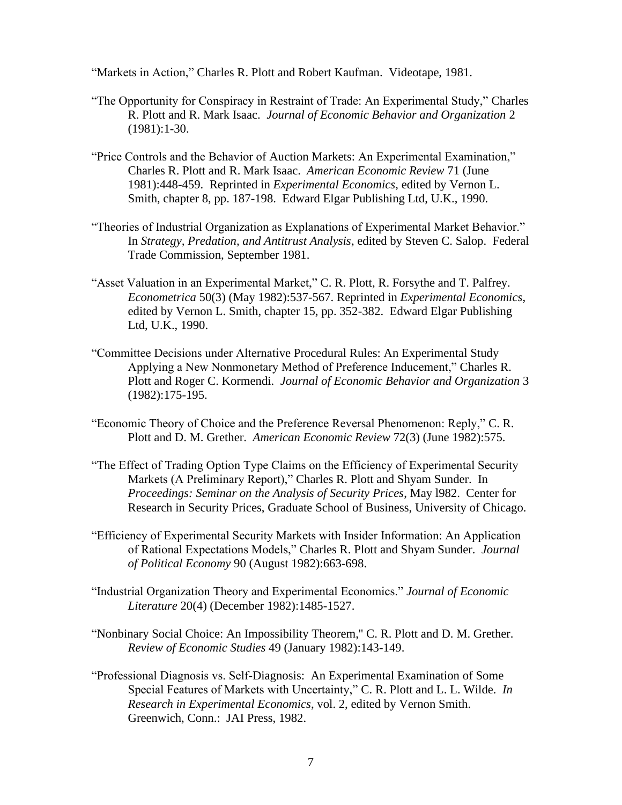"Markets in Action," Charles R. Plott and Robert Kaufman. Videotape, 1981.

- "The Opportunity for Conspiracy in Restraint of Trade: An Experimental Study," Charles R. Plott and R. Mark Isaac. *Journal of Economic Behavior and Organization* 2 (1981):1-30.
- "Price Controls and the Behavior of Auction Markets: An Experimental Examination," Charles R. Plott and R. Mark Isaac. *American Economic Review* 71 (June 1981):448-459. Reprinted in *Experimental Economics*, edited by Vernon L. Smith, chapter 8, pp. 187-198. Edward Elgar Publishing Ltd, U.K., 1990.
- "Theories of Industrial Organization as Explanations of Experimental Market Behavior." In *Strategy, Predation, and Antitrust Analysis*, edited by Steven C. Salop. Federal Trade Commission, September 1981.
- "Asset Valuation in an Experimental Market," C. R. Plott, R. Forsythe and T. Palfrey. *Econometrica* 50(3) (May 1982):537-567. Reprinted in *Experimental Economics*, edited by Vernon L. Smith, chapter 15, pp. 352-382. Edward Elgar Publishing Ltd, U.K., 1990.
- "Committee Decisions under Alternative Procedural Rules: An Experimental Study Applying a New Nonmonetary Method of Preference Inducement," Charles R. Plott and Roger C. Kormendi. *Journal of Economic Behavior and Organization* 3 (1982):175-195.
- "Economic Theory of Choice and the Preference Reversal Phenomenon: Reply," C. R. Plott and D. M. Grether. *American Economic Review* 72(3) (June 1982):575.
- "The Effect of Trading Option Type Claims on the Efficiency of Experimental Security Markets (A Preliminary Report)," Charles R. Plott and Shyam Sunder. In *Proceedings: Seminar on the Analysis of Security Prices*, May l982. Center for Research in Security Prices, Graduate School of Business, University of Chicago.
- "Efficiency of Experimental Security Markets with Insider Information: An Application of Rational Expectations Models," Charles R. Plott and Shyam Sunder. *Journal of Political Economy* 90 (August 1982):663-698.
- "Industrial Organization Theory and Experimental Economics." *Journal of Economic Literature* 20(4) (December 1982):1485-1527.
- "Nonbinary Social Choice: An Impossibility Theorem,'' C. R. Plott and D. M. Grether. *Review of Economic Studies* 49 (January 1982):143-149.
- "Professional Diagnosis vs. Self-Diagnosis: An Experimental Examination of Some Special Features of Markets with Uncertainty," C. R. Plott and L. L. Wilde. *In Research in Experimental Economics*, vol. 2, edited by Vernon Smith. Greenwich, Conn.: JAI Press, 1982.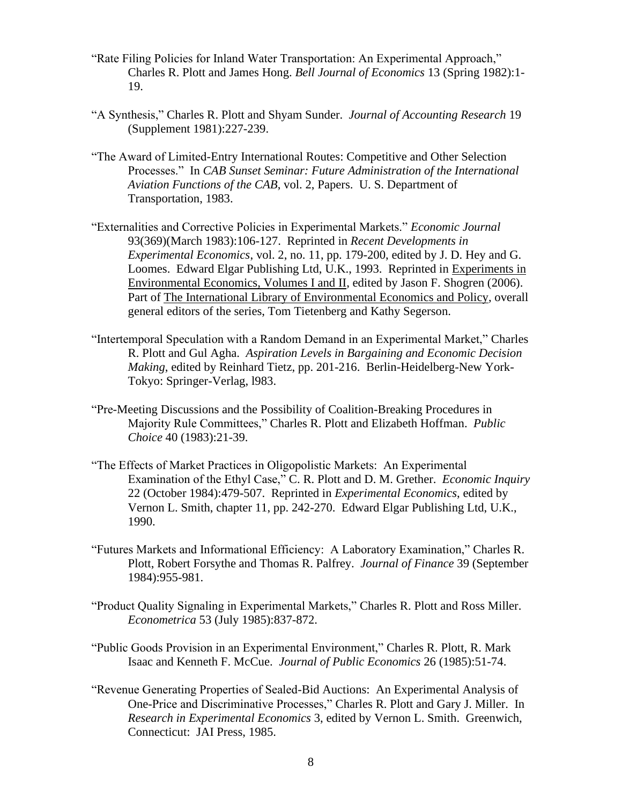- "Rate Filing Policies for Inland Water Transportation: An Experimental Approach," Charles R. Plott and James Hong. *Bell Journal of Economics* 13 (Spring 1982):1- 19.
- "A Synthesis," Charles R. Plott and Shyam Sunder. *Journal of Accounting Research* 19 (Supplement 1981):227-239.
- "The Award of Limited-Entry International Routes: Competitive and Other Selection Processes." In *CAB Sunset Seminar: Future Administration of the International Aviation Functions of the CAB*, vol. 2, Papers. U. S. Department of Transportation, 1983.
- "Externalities and Corrective Policies in Experimental Markets." *Economic Journal* 93(369)(March 1983):106-127. Reprinted in *Recent Developments in Experimental Economics*, vol. 2, no. 11, pp. 179-200, edited by J. D. Hey and G. Loomes. Edward Elgar Publishing Ltd, U.K., 1993. Reprinted in Experiments in Environmental Economics, Volumes I and II, edited by Jason F. Shogren (2006). Part of The International Library of Environmental Economics and Policy, overall general editors of the series, Tom Tietenberg and Kathy Segerson.
- "Intertemporal Speculation with a Random Demand in an Experimental Market," Charles R. Plott and Gul Agha. *Aspiration Levels in Bargaining and Economic Decision Making*, edited by Reinhard Tietz, pp. 201-216. Berlin-Heidelberg-New York-Tokyo: Springer-Verlag, l983.
- "Pre-Meeting Discussions and the Possibility of Coalition-Breaking Procedures in Majority Rule Committees," Charles R. Plott and Elizabeth Hoffman. *Public Choice* 40 (1983):21-39.
- "The Effects of Market Practices in Oligopolistic Markets: An Experimental Examination of the Ethyl Case," C. R. Plott and D. M. Grether. *Economic Inquiry* 22 (October 1984):479-507. Reprinted in *Experimental Economics*, edited by Vernon L. Smith, chapter 11, pp. 242-270. Edward Elgar Publishing Ltd, U.K., 1990.
- "Futures Markets and Informational Efficiency: A Laboratory Examination," Charles R. Plott, Robert Forsythe and Thomas R. Palfrey. *Journal of Finance* 39 (September 1984):955-981.
- "Product Quality Signaling in Experimental Markets," Charles R. Plott and Ross Miller. *Econometrica* 53 (July 1985):837-872.
- "Public Goods Provision in an Experimental Environment," Charles R. Plott, R. Mark Isaac and Kenneth F. McCue. *Journal of Public Economics* 26 (1985):51-74.
- "Revenue Generating Properties of Sealed-Bid Auctions: An Experimental Analysis of One-Price and Discriminative Processes," Charles R. Plott and Gary J. Miller. In *Research in Experimental Economics* 3, edited by Vernon L. Smith. Greenwich, Connecticut: JAI Press, 1985.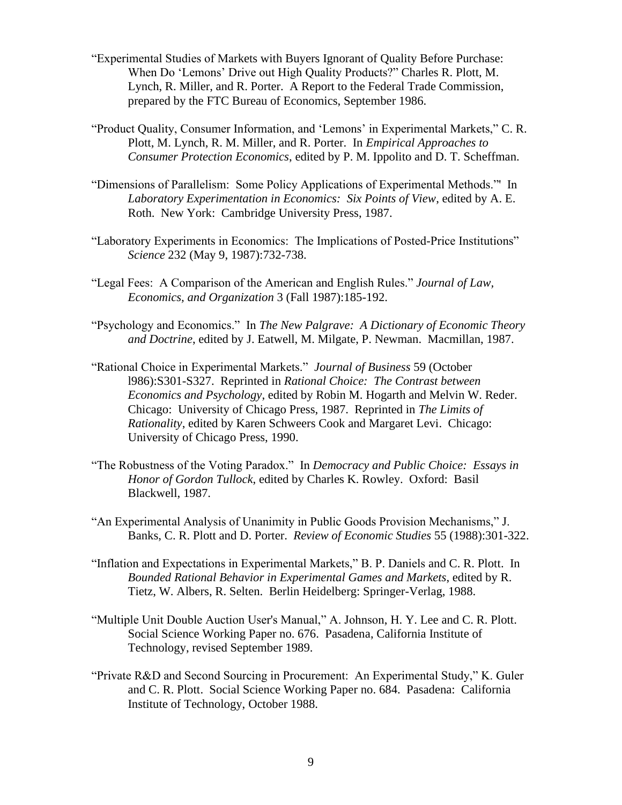- "Experimental Studies of Markets with Buyers Ignorant of Quality Before Purchase: When Do 'Lemons' Drive out High Quality Products?" Charles R. Plott, M. Lynch, R. Miller, and R. Porter. A Report to the Federal Trade Commission, prepared by the FTC Bureau of Economics, September 1986.
- "Product Quality, Consumer Information, and 'Lemons' in Experimental Markets," C. R. Plott, M. Lynch, R. M. Miller, and R. Porter. In *Empirical Approaches to Consumer Protection Economics*, edited by P. M. Ippolito and D. T. Scheffman.
- "Dimensions of Parallelism: Some Policy Applications of Experimental Methods."' In *Laboratory Experimentation in Economics: Six Points of View*, edited by A. E. Roth. New York: Cambridge University Press, 1987.
- "Laboratory Experiments in Economics: The Implications of Posted-Price Institutions" *Science* 232 (May 9, 1987):732-738.
- "Legal Fees: A Comparison of the American and English Rules." *Journal of Law, Economics, and Organization* 3 (Fall 1987):185-192.
- "Psychology and Economics." In *The New Palgrave: A Dictionary of Economic Theory and Doctrine*, edited by J. Eatwell, M. Milgate, P. Newman. Macmillan, 1987.
- "Rational Choice in Experimental Markets." *Journal of Business* 59 (October l986):S301-S327. Reprinted in *Rational Choice: The Contrast between Economics and Psychology*, edited by Robin M. Hogarth and Melvin W. Reder. Chicago: University of Chicago Press, 1987. Reprinted in *The Limits of Rationality*, edited by Karen Schweers Cook and Margaret Levi. Chicago: University of Chicago Press, 1990.
- "The Robustness of the Voting Paradox." In *Democracy and Public Choice: Essays in Honor of Gordon Tullock*, edited by Charles K. Rowley. Oxford: Basil Blackwell, 1987.
- "An Experimental Analysis of Unanimity in Public Goods Provision Mechanisms," J. Banks, C. R. Plott and D. Porter. *Review of Economic Studies* 55 (1988):301-322.
- "Inflation and Expectations in Experimental Markets," B. P. Daniels and C. R. Plott. In *Bounded Rational Behavior in Experimental Games and Markets*, edited by R. Tietz, W. Albers, R. Selten. Berlin Heidelberg: Springer-Verlag, 1988.
- "Multiple Unit Double Auction User's Manual," A. Johnson, H. Y. Lee and C. R. Plott. Social Science Working Paper no. 676. Pasadena, California Institute of Technology, revised September 1989.
- "Private R&D and Second Sourcing in Procurement: An Experimental Study," K. Guler and C. R. Plott. Social Science Working Paper no. 684. Pasadena: California Institute of Technology, October 1988.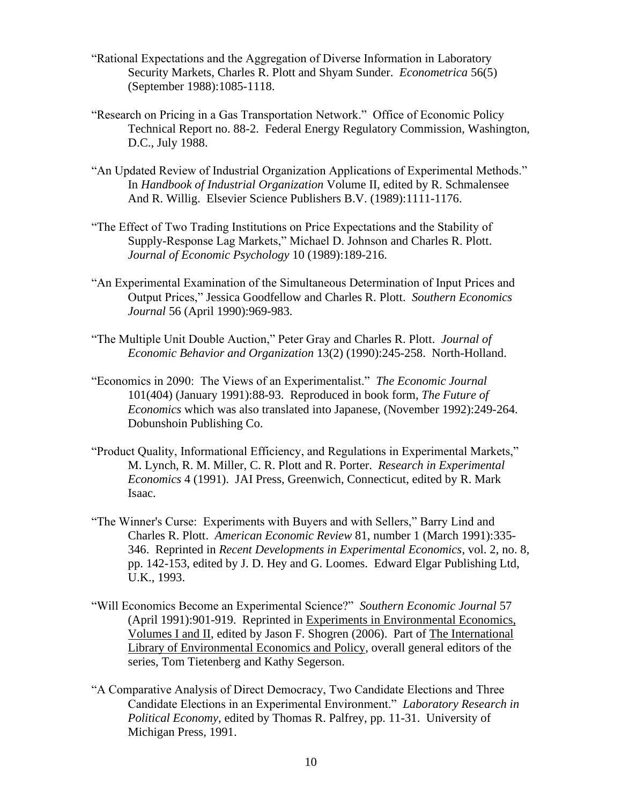- "Rational Expectations and the Aggregation of Diverse Information in Laboratory Security Markets, Charles R. Plott and Shyam Sunder. *Econometrica* 56(5) (September 1988):1085-1118.
- "Research on Pricing in a Gas Transportation Network." Office of Economic Policy Technical Report no. 88-2. Federal Energy Regulatory Commission, Washington, D.C., July 1988.
- "An Updated Review of Industrial Organization Applications of Experimental Methods." In *Handbook of Industrial Organization* Volume II, edited by R. Schmalensee And R. Willig. Elsevier Science Publishers B.V. (1989):1111-1176.
- "The Effect of Two Trading Institutions on Price Expectations and the Stability of Supply-Response Lag Markets," Michael D. Johnson and Charles R. Plott. *Journal of Economic Psychology* 10 (1989):189-216.
- "An Experimental Examination of the Simultaneous Determination of Input Prices and Output Prices," Jessica Goodfellow and Charles R. Plott. *Southern Economics Journal* 56 (April 1990):969-983.
- "The Multiple Unit Double Auction," Peter Gray and Charles R. Plott. *Journal of Economic Behavior and Organization* 13(2) (1990):245-258. North-Holland.
- "Economics in 2090: The Views of an Experimentalist." *The Economic Journal* 101(404) (January 1991):88-93. Reproduced in book form, *The Future of Economics* which was also translated into Japanese, (November 1992):249-264. Dobunshoin Publishing Co.
- "Product Quality, Informational Efficiency, and Regulations in Experimental Markets," M. Lynch, R. M. Miller, C. R. Plott and R. Porter. *Research in Experimental Economics* 4 (1991). JAI Press, Greenwich, Connecticut, edited by R. Mark Isaac.
- "The Winner's Curse: Experiments with Buyers and with Sellers," Barry Lind and Charles R. Plott. *American Economic Review* 81, number 1 (March 1991):335- 346. Reprinted in *Recent Developments in Experimental Economics*, vol. 2, no. 8, pp. 142-153, edited by J. D. Hey and G. Loomes. Edward Elgar Publishing Ltd, U.K., 1993.
- "Will Economics Become an Experimental Science?" *Southern Economic Journal* 57 (April 1991):901-919. Reprinted in Experiments in Environmental Economics, Volumes I and II, edited by Jason F. Shogren (2006). Part of The International Library of Environmental Economics and Policy, overall general editors of the series, Tom Tietenberg and Kathy Segerson.
- "A Comparative Analysis of Direct Democracy, Two Candidate Elections and Three Candidate Elections in an Experimental Environment." *Laboratory Research in Political Economy*, edited by Thomas R. Palfrey, pp. 11-31. University of Michigan Press, 1991.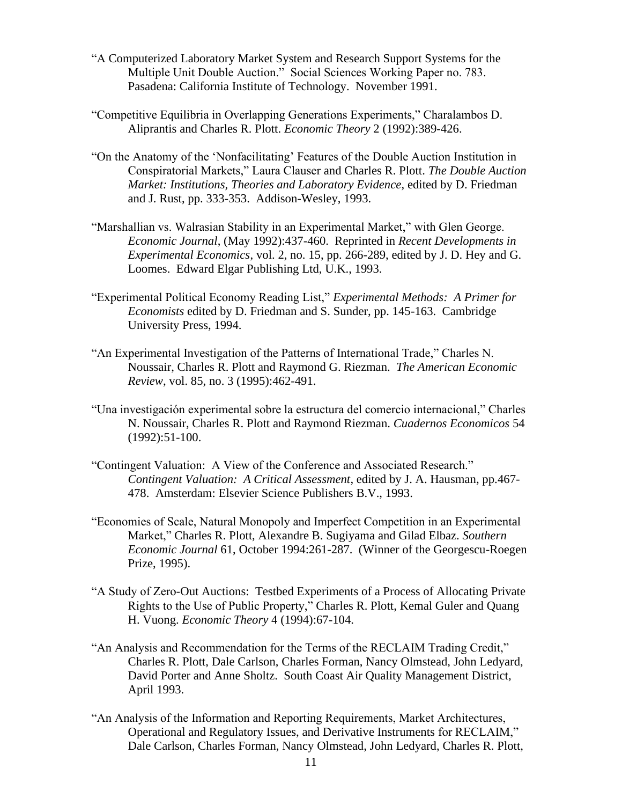- "A Computerized Laboratory Market System and Research Support Systems for the Multiple Unit Double Auction." Social Sciences Working Paper no. 783. Pasadena: California Institute of Technology. November 1991.
- "Competitive Equilibria in Overlapping Generations Experiments," Charalambos D. Aliprantis and Charles R. Plott. *Economic Theory* 2 (1992):389-426.
- "On the Anatomy of the 'Nonfacilitating' Features of the Double Auction Institution in Conspiratorial Markets," Laura Clauser and Charles R. Plott. *The Double Auction Market: Institutions, Theories and Laboratory Evidence*, edited by D. Friedman and J. Rust, pp. 333-353. Addison-Wesley, 1993.
- "Marshallian vs. Walrasian Stability in an Experimental Market," with Glen George. *Economic Journal*, (May 1992):437-460. Reprinted in *Recent Developments in Experimental Economics*, vol. 2, no. 15, pp. 266-289, edited by J. D. Hey and G. Loomes. Edward Elgar Publishing Ltd, U.K., 1993.
- "Experimental Political Economy Reading List," *Experimental Methods: A Primer for Economists* edited by D. Friedman and S. Sunder, pp. 145-163. Cambridge University Press, 1994.
- "An Experimental Investigation of the Patterns of International Trade," Charles N. Noussair, Charles R. Plott and Raymond G. Riezman. *The American Economic Review*, vol. 85, no. 3 (1995):462-491.
- "Una investigación experimental sobre la estructura del comercio internacional," Charles N. Noussair, Charles R. Plott and Raymond Riezman. *Cuadernos Economicos* 54 (1992):51-100.
- "Contingent Valuation: A View of the Conference and Associated Research." *Contingent Valuation: A Critical Assessment*, edited by J. A. Hausman, pp.467- 478. Amsterdam: Elsevier Science Publishers B.V., 1993.
- "Economies of Scale, Natural Monopoly and Imperfect Competition in an Experimental Market," Charles R. Plott, Alexandre B. Sugiyama and Gilad Elbaz. *Southern Economic Journal* 61, October 1994:261-287. (Winner of the Georgescu-Roegen Prize, 1995).
- "A Study of Zero-Out Auctions: Testbed Experiments of a Process of Allocating Private Rights to the Use of Public Property," Charles R. Plott, Kemal Guler and Quang H. Vuong. *Economic Theory* 4 (1994):67-104.
- "An Analysis and Recommendation for the Terms of the RECLAIM Trading Credit," Charles R. Plott, Dale Carlson, Charles Forman, Nancy Olmstead, John Ledyard, David Porter and Anne Sholtz. South Coast Air Quality Management District, April 1993.
- "An Analysis of the Information and Reporting Requirements, Market Architectures, Operational and Regulatory Issues, and Derivative Instruments for RECLAIM," Dale Carlson, Charles Forman, Nancy Olmstead, John Ledyard, Charles R. Plott,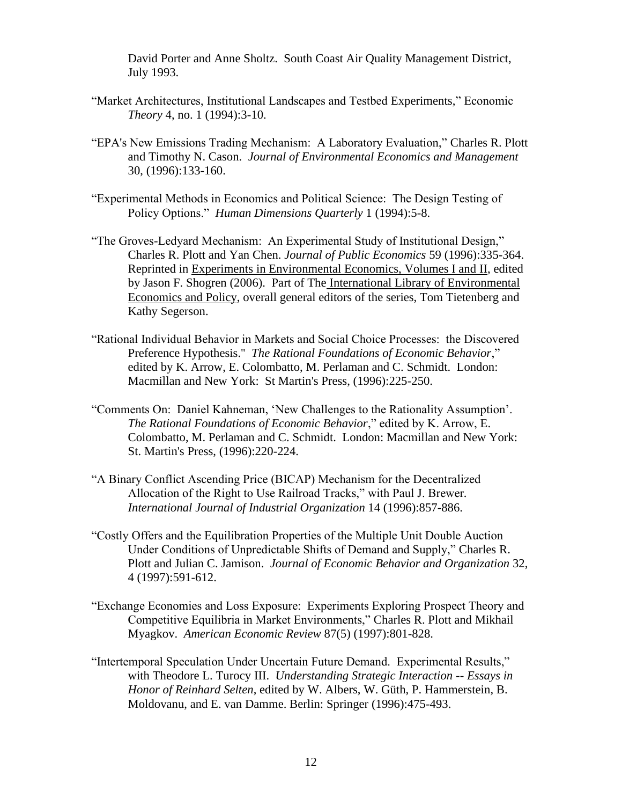David Porter and Anne Sholtz. South Coast Air Quality Management District, July 1993.

- "Market Architectures, Institutional Landscapes and Testbed Experiments," Economic *Theory* 4, no. 1 (1994):3-10.
- "EPA's New Emissions Trading Mechanism: A Laboratory Evaluation," Charles R. Plott and Timothy N. Cason. *Journal of Environmental Economics and Management* 30, (1996):133-160.
- "Experimental Methods in Economics and Political Science: The Design Testing of Policy Options." *Human Dimensions Quarterly* 1 (1994):5-8.
- "The Groves-Ledyard Mechanism: An Experimental Study of Institutional Design," Charles R. Plott and Yan Chen. *Journal of Public Economics* 59 (1996):335-364. Reprinted in Experiments in Environmental Economics, Volumes I and II, edited by Jason F. Shogren (2006). Part of The International Library of Environmental Economics and Policy, overall general editors of the series, Tom Tietenberg and Kathy Segerson.
- "Rational Individual Behavior in Markets and Social Choice Processes: the Discovered Preference Hypothesis.'' *The Rational Foundations of Economic Behavior*," edited by K. Arrow, E. Colombatto, M. Perlaman and C. Schmidt. London: Macmillan and New York: St Martin's Press, (1996):225-250.
- "Comments On: Daniel Kahneman, 'New Challenges to the Rationality Assumption'. *The Rational Foundations of Economic Behavior*," edited by K. Arrow, E. Colombatto, M. Perlaman and C. Schmidt. London: Macmillan and New York: St. Martin's Press, (1996):220-224.
- "A Binary Conflict Ascending Price (BICAP) Mechanism for the Decentralized Allocation of the Right to Use Railroad Tracks," with Paul J. Brewer*. International Journal of Industrial Organization* 14 (1996):857-886.
- "Costly Offers and the Equilibration Properties of the Multiple Unit Double Auction Under Conditions of Unpredictable Shifts of Demand and Supply," Charles R. Plott and Julian C. Jamison. *Journal of Economic Behavior and Organization* 32, 4 (1997):591-612.
- "Exchange Economies and Loss Exposure: Experiments Exploring Prospect Theory and Competitive Equilibria in Market Environments," Charles R. Plott and Mikhail Myagkov. *American Economic Review* 87(5) (1997):801-828.
- "Intertemporal Speculation Under Uncertain Future Demand. Experimental Results," with Theodore L. Turocy III. *Understanding Strategic Interaction -- Essays in Honor of Reinhard Selten*, edited by W. Albers, W. Güth, P. Hammerstein, B. Moldovanu, and E. van Damme. Berlin: Springer (1996):475-493.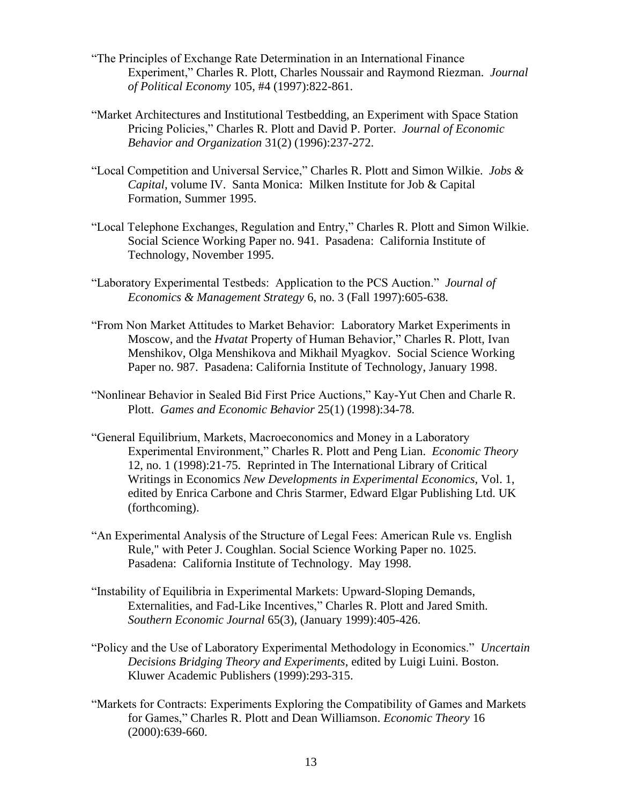- "The Principles of Exchange Rate Determination in an International Finance Experiment," Charles R. Plott, Charles Noussair and Raymond Riezman. *Journal of Political Economy* 105, #4 (1997):822-861.
- "Market Architectures and Institutional Testbedding, an Experiment with Space Station Pricing Policies," Charles R. Plott and David P. Porter. *Journal of Economic Behavior and Organization* 31(2) (1996):237-272.
- "Local Competition and Universal Service," Charles R. Plott and Simon Wilkie. *Jobs & Capital*, volume IV. Santa Monica: Milken Institute for Job & Capital Formation, Summer 1995.
- "Local Telephone Exchanges, Regulation and Entry," Charles R. Plott and Simon Wilkie. Social Science Working Paper no. 941. Pasadena: California Institute of Technology, November 1995.
- "Laboratory Experimental Testbeds: Application to the PCS Auction." *Journal of Economics & Management Strategy* 6, no. 3 (Fall 1997):605-638*.*
- "From Non Market Attitudes to Market Behavior: Laboratory Market Experiments in Moscow, and the *Hvatat* Property of Human Behavior," Charles R. Plott, Ivan Menshikov, Olga Menshikova and Mikhail Myagkov. Social Science Working Paper no. 987. Pasadena: California Institute of Technology, January 1998.
- "Nonlinear Behavior in Sealed Bid First Price Auctions," Kay-Yut Chen and Charle R. Plott. *Games and Economic Behavior* 25(1) (1998):34-78.
- "General Equilibrium, Markets, Macroeconomics and Money in a Laboratory Experimental Environment," Charles R. Plott and Peng Lian. *Economic Theory* 12, no. 1 (1998):21-75. Reprinted in The International Library of Critical Writings in Economics *New Developments in Experimental Economics,* Vol. 1, edited by Enrica Carbone and Chris Starmer, Edward Elgar Publishing Ltd. UK (forthcoming).
- "An Experimental Analysis of the Structure of Legal Fees: American Rule vs. English Rule," with Peter J. Coughlan. Social Science Working Paper no. 1025. Pasadena: California Institute of Technology. May 1998.
- "Instability of Equilibria in Experimental Markets: Upward-Sloping Demands, Externalities, and Fad-Like Incentives," Charles R. Plott and Jared Smith. *Southern Economic Journal* 65(3), (January 1999):405-426.
- "Policy and the Use of Laboratory Experimental Methodology in Economics." *Uncertain Decisions Bridging Theory and Experiments*, edited by Luigi Luini. Boston. Kluwer Academic Publishers (1999):293-315.
- "Markets for Contracts: Experiments Exploring the Compatibility of Games and Markets for Games," Charles R. Plott and Dean Williamson. *Economic Theory* 16 (2000):639-660.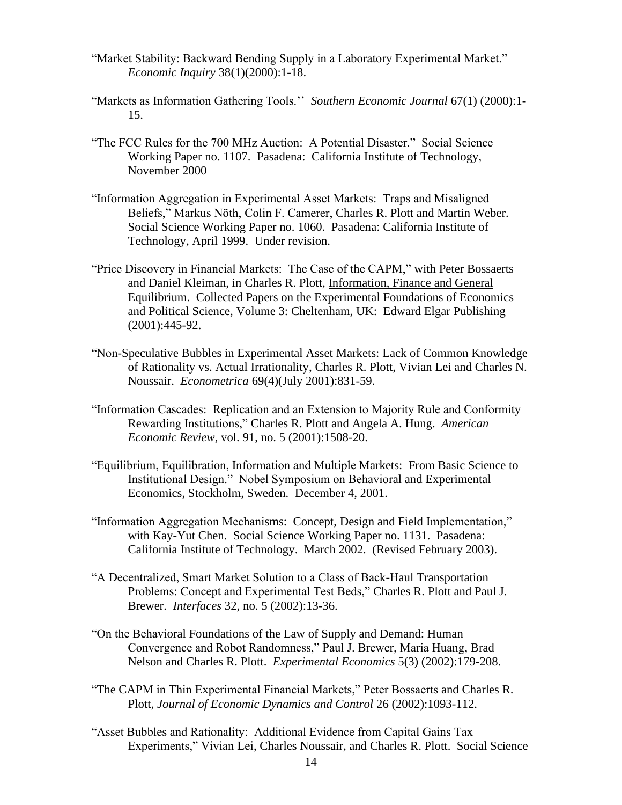- "Market Stability: Backward Bending Supply in a Laboratory Experimental Market." *Economic Inquiry* 38(1)(2000):1-18.
- "Markets as Information Gathering Tools.'' *Southern Economic Journal* 67(1) (2000):1- 15.
- "The FCC Rules for the 700 MHz Auction: A Potential Disaster." Social Science Working Paper no. 1107. Pasadena: California Institute of Technology, November 2000
- "Information Aggregation in Experimental Asset Markets: Traps and Misaligned Beliefs," Markus Nöth, Colin F. Camerer, Charles R. Plott and Martin Weber. Social Science Working Paper no. 1060. Pasadena: California Institute of Technology, April 1999. Under revision.
- "Price Discovery in Financial Markets: The Case of the CAPM," with Peter Bossaerts and Daniel Kleiman, in Charles R. Plott, Information, Finance and General Equilibrium. Collected Papers on the Experimental Foundations of Economics and Political Science, Volume 3: Cheltenham, UK: Edward Elgar Publishing (2001):445-92.
- "Non-Speculative Bubbles in Experimental Asset Markets: Lack of Common Knowledge of Rationality vs. Actual Irrationality, Charles R. Plott, Vivian Lei and Charles N. Noussair. *Econometrica* 69(4)(July 2001):831-59.
- "Information Cascades: Replication and an Extension to Majority Rule and Conformity Rewarding Institutions," Charles R. Plott and Angela A. Hung. *American Economic Review*, vol. 91, no. 5 (2001):1508-20.
- "Equilibrium, Equilibration, Information and Multiple Markets: From Basic Science to Institutional Design." Nobel Symposium on Behavioral and Experimental Economics, Stockholm, Sweden. December 4, 2001.
- "Information Aggregation Mechanisms: Concept, Design and Field Implementation," with Kay-Yut Chen. Social Science Working Paper no. 1131. Pasadena: California Institute of Technology. March 2002. (Revised February 2003).
- "A Decentralized, Smart Market Solution to a Class of Back-Haul Transportation Problems: Concept and Experimental Test Beds," Charles R. Plott and Paul J. Brewer. *Interfaces* 32, no. 5 (2002):13-36.
- "On the Behavioral Foundations of the Law of Supply and Demand: Human Convergence and Robot Randomness," Paul J. Brewer, Maria Huang, Brad Nelson and Charles R. Plott. *Experimental Economics* 5(3) (2002):179-208.
- "The CAPM in Thin Experimental Financial Markets," Peter Bossaerts and Charles R. Plott, *Journal of Economic Dynamics and Control* 26 (2002):1093-112.
- "Asset Bubbles and Rationality: Additional Evidence from Capital Gains Tax Experiments," Vivian Lei, Charles Noussair, and Charles R. Plott. Social Science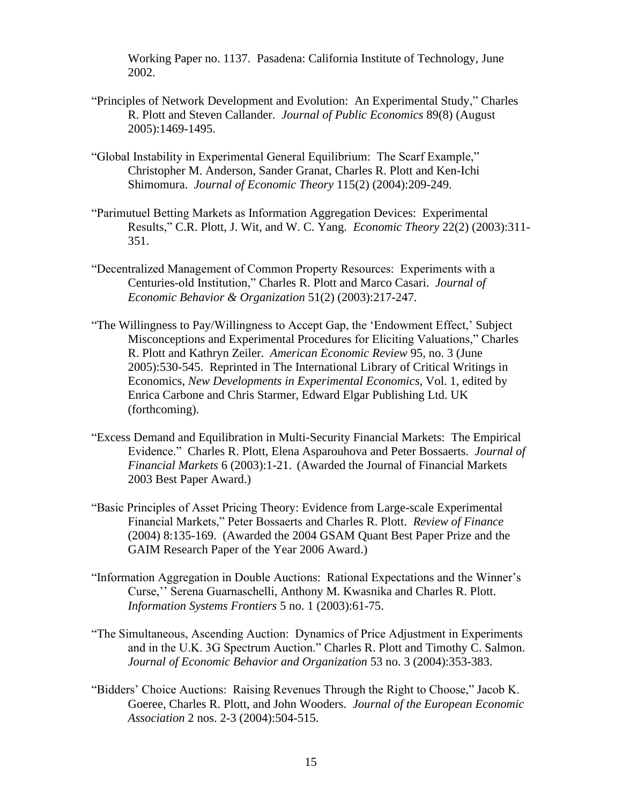Working Paper no. 1137. Pasadena: California Institute of Technology, June 2002.

- "Principles of Network Development and Evolution: An Experimental Study," Charles R. Plott and Steven Callander. *Journal of Public Economics* [89\(8\)](http://www.sciencedirect.com/science?_ob=IssueURL&_tockey=%23TOC%235834%232005%23999109991%23599664%23FLA%23&_auth=y&view=c&_acct=C000050264&_version=1&_urlVersion=0&_userid=1010281&md5=a8c5040c5bedc6f62906145acd4d1d6c) (August 2005):1469-1495.
- "Global Instability in Experimental General Equilibrium: The Scarf Example," Christopher M. Anderson, Sander Granat, Charles R. Plott and Ken-Ichi Shimomura. *Journal of Economic Theory* 115(2) (2004):209-249.
- "Parimutuel Betting Markets as Information Aggregation Devices: Experimental Results," C.R. Plott, J. Wit, and W. C. Yang. *Economic Theory* 22(2) (2003):311- 351.
- "Decentralized Management of Common Property Resources: Experiments with a Centuries-old Institution," Charles R. Plott and Marco Casari. *Journal of Economic Behavior & Organization* 51(2) (2003):217-247.
- "The Willingness to Pay/Willingness to Accept Gap, the 'Endowment Effect,' Subject Misconceptions and Experimental Procedures for Eliciting Valuations," Charles R. Plott and Kathryn Zeiler. *American Economic Review* 95, no. 3 (June 2005):530-545. Reprinted in The International Library of Critical Writings in Economics, *New Developments in Experimental Economics,* Vol. 1, edited by Enrica Carbone and Chris Starmer, Edward Elgar Publishing Ltd. UK (forthcoming).
- "Excess Demand and Equilibration in Multi-Security Financial Markets: The Empirical Evidence." Charles R. Plott, Elena Asparouhova and Peter Bossaerts. *Journal of Financial Markets* 6 (2003):1-21. (Awarded the Journal of Financial Markets 2003 Best Paper Award.)
- "Basic Principles of Asset Pricing Theory: Evidence from Large-scale Experimental Financial Markets," Peter Bossaerts and Charles R. Plott. *Review of Finance* (2004) 8:135-169. (Awarded the 2004 GSAM Quant Best Paper Prize and the GAIM Research Paper of the Year 2006 Award.)
- "Information Aggregation in Double Auctions: Rational Expectations and the Winner's Curse,'' Serena Guarnaschelli, Anthony M. Kwasnika and Charles R. Plott. *Information Systems Frontiers* 5 no. 1 (2003):61-75.
- "The Simultaneous, Ascending Auction: Dynamics of Price Adjustment in Experiments and in the U.K. 3G Spectrum Auction." Charles R. Plott and Timothy C. Salmon. *Journal of Economic Behavior and Organization* 53 no. 3 (2004):353-383.
- "Bidders' Choice Auctions: Raising Revenues Through the Right to Choose," Jacob K. Goeree, Charles R. Plott, and John Wooders. *Journal of the European Economic Association* 2 nos. 2-3 (2004):504-515.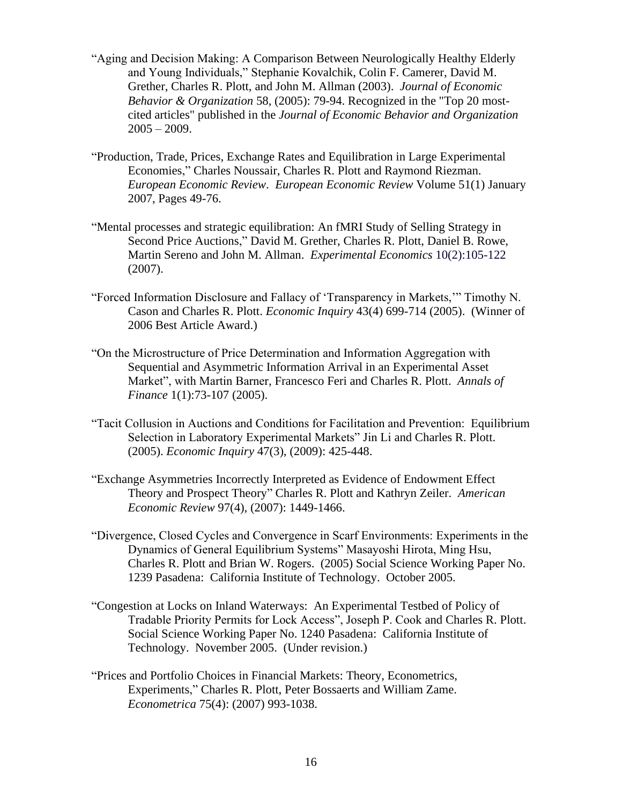- "Aging and Decision Making: A Comparison Between Neurologically Healthy Elderly and Young Individuals," Stephanie Kovalchik, Colin F. Camerer, David M. Grether, Charles R. Plott, and John M. Allman (2003). *Journal of Economic Behavior & Organization* 58, (2005): 79-94. Recognized in the "Top 20 mostcited articles" published in the *Journal of Economic Behavior and Organization*  $2005 - 2009$ .
- "Production, Trade, Prices, Exchange Rates and Equilibration in Large Experimental Economies," Charles Noussair, Charles R. Plott and Raymond Riezman. *European Economic Review*. *European Economic Review* Volume 51(1) January 2007, Pages 49-76.
- "Mental processes and strategic equilibration: An fMRI Study of Selling Strategy in Second Price Auctions," David M. Grether, Charles R. Plott, Daniel B. Rowe, Martin Sereno and John M. Allman. *Experimental Economics* 10(2):105-122 (2007).
- "Forced Information Disclosure and Fallacy of 'Transparency in Markets,'" Timothy N. Cason and Charles R. Plott. *Economic Inquiry* 43(4) 699-714 (2005). (Winner of 2006 Best Article Award.)
- "On the Microstructure of Price Determination and Information Aggregation with Sequential and Asymmetric Information Arrival in an Experimental Asset Market", with Martin Barner, Francesco Feri and Charles R. Plott. *Annals of Finance* 1(1):73-107 (2005).
- "Tacit Collusion in Auctions and Conditions for Facilitation and Prevention: Equilibrium Selection in Laboratory Experimental Markets" Jin Li and Charles R. Plott. (2005). *Economic Inquiry* 47(3), (2009): 425-448.
- "Exchange Asymmetries Incorrectly Interpreted as Evidence of Endowment Effect Theory and Prospect Theory" Charles R. Plott and Kathryn Zeiler. *American Economic Review* 97(4), (2007): 1449-1466.
- "Divergence, Closed Cycles and Convergence in Scarf Environments: Experiments in the Dynamics of General Equilibrium Systems" Masayoshi Hirota, Ming Hsu, Charles R. Plott and Brian W. Rogers. (2005) Social Science Working Paper No. 1239 Pasadena: California Institute of Technology. October 2005.
- "Congestion at Locks on Inland Waterways: An Experimental Testbed of Policy of Tradable Priority Permits for Lock Access", Joseph P. Cook and Charles R. Plott. Social Science Working Paper No. 1240 Pasadena: California Institute of Technology. November 2005. (Under revision.)
- "Prices and Portfolio Choices in Financial Markets: Theory, Econometrics, Experiments," Charles R. Plott, Peter Bossaerts and William Zame. *Econometrica* 75(4): (2007) 993-1038.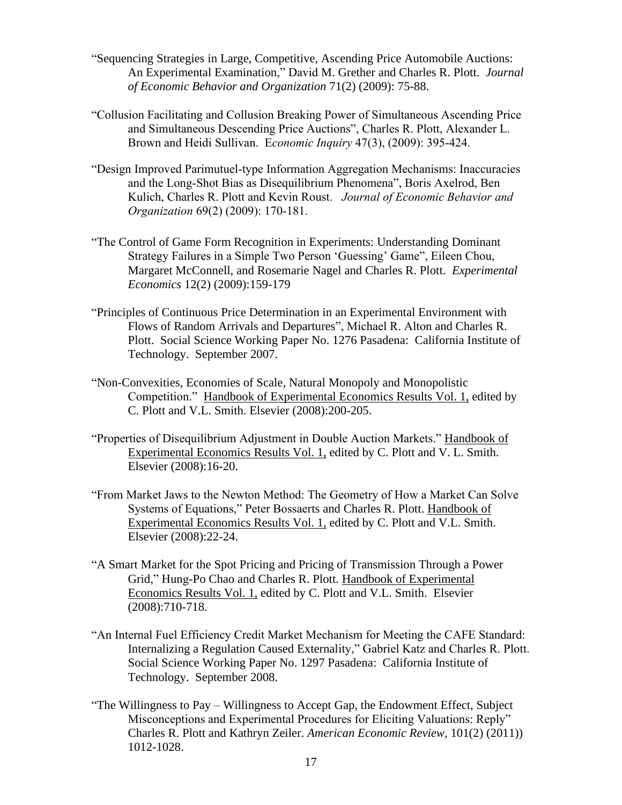- "Sequencing Strategies in Large, Competitive, Ascending Price Automobile Auctions: An Experimental Examination," David M. Grether and Charles R. Plott. *Journal of Economic Behavior and Organization* 71(2) (2009): 75-88.
- "Collusion Facilitating and Collusion Breaking Power of Simultaneous Ascending Price and Simultaneous Descending Price Auctions", Charles R. Plott, Alexander L. Brown and Heidi Sullivan. E*conomic Inquiry* 47(3), (2009): 395-424.
- "Design Improved Parimutuel-type Information Aggregation Mechanisms: Inaccuracies and the Long-Shot Bias as Disequilibrium Phenomena", Boris Axelrod, Ben Kulich, Charles R. Plott and Kevin Roust. *Journal of Economic Behavior and Organization* 69(2) (2009): 170-181.
- "The Control of Game Form Recognition in Experiments: Understanding Dominant Strategy Failures in a Simple Two Person 'Guessing' Game", Eileen Chou, Margaret McConnell, and Rosemarie Nagel and Charles R. Plott. *Experimental Economics* 12(2) (2009):159-179
- "Principles of Continuous Price Determination in an Experimental Environment with Flows of Random Arrivals and Departures", Michael R. Alton and Charles R. Plott. Social Science Working Paper No. 1276 Pasadena: California Institute of Technology. September 2007.
- "Non-Convexities, Economies of Scale, Natural Monopoly and Monopolistic Competition." Handbook of Experimental Economics Results Vol. 1, edited by C. Plott and V.L. Smith. Elsevier (2008):200-205.
- "Properties of Disequilibrium Adjustment in Double Auction Markets." Handbook of Experimental Economics Results Vol. 1, edited by C. Plott and V. L. Smith. Elsevier (2008):16-20.
- "From Market Jaws to the Newton Method: The Geometry of How a Market Can Solve Systems of Equations," Peter Bossaerts and Charles R. Plott. Handbook of Experimental Economics Results Vol. 1, edited by C. Plott and V.L. Smith. Elsevier (2008):22-24.
- "A Smart Market for the Spot Pricing and Pricing of Transmission Through a Power Grid," Hung-Po Chao and Charles R. Plott. Handbook of Experimental Economics Results Vol. 1, edited by C. Plott and V.L. Smith. Elsevier (2008):710-718.
- "An Internal Fuel Efficiency Credit Market Mechanism for Meeting the CAFE Standard: Internalizing a Regulation Caused Externality," Gabriel Katz and Charles R. Plott. Social Science Working Paper No. 1297 Pasadena: California Institute of Technology. September 2008.
- "The Willingness to Pay Willingness to Accept Gap, the Endowment Effect, Subject Misconceptions and Experimental Procedures for Eliciting Valuations: Reply" Charles R. Plott and Kathryn Zeiler. *American Economic Review,* 101(2) (2011)) 1012-1028.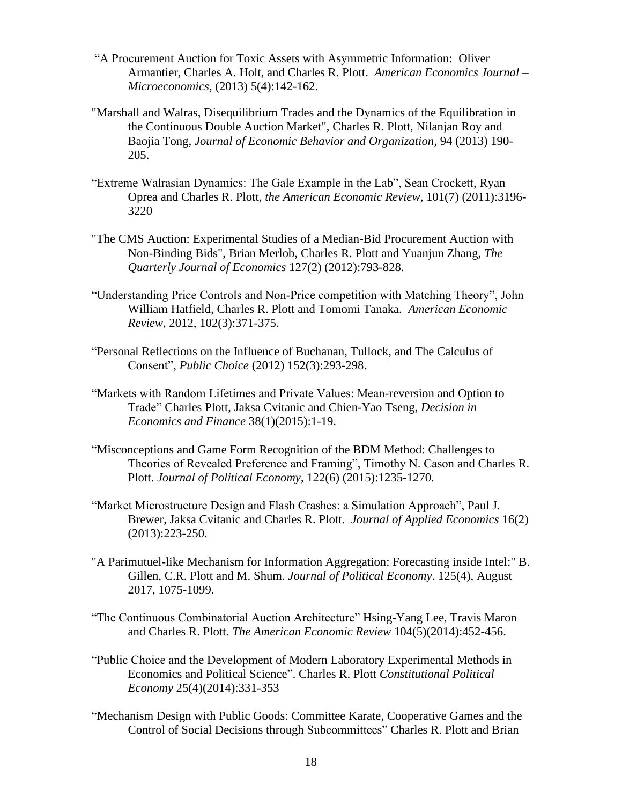- "A Procurement Auction for Toxic Assets with Asymmetric Information: Oliver Armantier, Charles A. Holt, and Charles R. Plott. *American Economics Journal – Microeconomics*, (2013) 5(4):142-162.
- "Marshall and Walras, Disequilibrium Trades and the Dynamics of the Equilibration in the Continuous Double Auction Market", Charles R. Plott, Nilanjan Roy and Baojia Tong, *Journal of Economic Behavior and Organization,* 94 (2013) 190- 205.
- "Extreme Walrasian Dynamics: The Gale Example in the Lab", Sean Crockett, Ryan Oprea and Charles R. Plott, *the American Economic Review,* 101(7) (2011):3196- 3220
- "The CMS Auction: Experimental Studies of a Median-Bid Procurement Auction with Non-Binding Bids", Brian Merlob, Charles R. Plott and Yuanjun Zhang, *The Quarterly Journal of Economics* 127(2) (2012):793-828.
- "Understanding Price Controls and Non-Price competition with Matching Theory", John William Hatfield, Charles R. Plott and Tomomi Tanaka. *American Economic Review*, 2012, 102(3):371-375.
- "Personal Reflections on the Influence of Buchanan, Tullock, and The Calculus of Consent", *Public Choice* (2012) 152(3):293-298.
- "Markets with Random Lifetimes and Private Values: Mean-reversion and Option to Trade" Charles Plott, Jaksa Cvitanic and Chien-Yao Tseng, *Decision in Economics and Finance* 38(1)(2015):1-19.
- "Misconceptions and Game Form Recognition of the BDM Method: Challenges to Theories of Revealed Preference and Framing", Timothy N. Cason and Charles R. Plott. *Journal of Political Economy*, 122(6) (2015):1235-1270.
- "Market Microstructure Design and Flash Crashes: a Simulation Approach", Paul J. Brewer, Jaksa Cvitanic and Charles R. Plott. *Journal of Applied Economics* 16(2) (2013):223-250.
- "A Parimutuel-like Mechanism for Information Aggregation: Forecasting inside Intel:" B. Gillen, C.R. Plott and M. Shum. *Journal of Political Economy*. 125(4), August 2017, 1075-1099.
- "The Continuous Combinatorial Auction Architecture" Hsing-Yang Lee, Travis Maron and Charles R. Plott. *The American Economic Review* 104(5)(2014):452-456.
- "Public Choice and the Development of Modern Laboratory Experimental Methods in Economics and Political Science". Charles R. Plott *Constitutional Political Economy* 25(4)(2014):331-353
- "Mechanism Design with Public Goods: Committee Karate, Cooperative Games and the Control of Social Decisions through Subcommittees" Charles R. Plott and Brian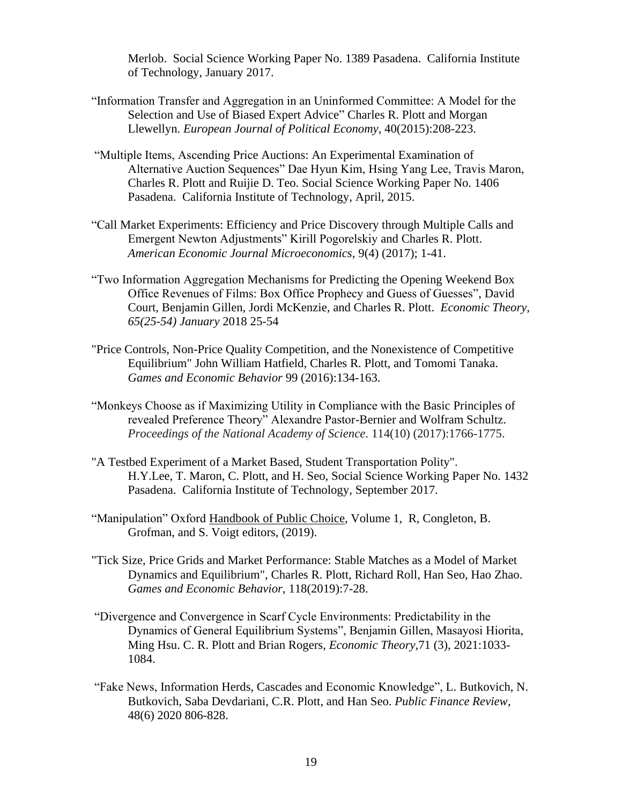Merlob. Social Science Working Paper No. 1389 Pasadena. California Institute of Technology, January 2017.

- "Information Transfer and Aggregation in an Uninformed Committee: A Model for the Selection and Use of Biased Expert Advice" Charles R. Plott and Morgan Llewellyn. *European Journal of Political Economy,* 40(2015):208-223.
- "Multiple Items, Ascending Price Auctions: An Experimental Examination of Alternative Auction Sequences" Dae Hyun Kim, Hsing Yang Lee, Travis Maron, Charles R. Plott and Ruijie D. Teo. Social Science Working Paper No. 1406 Pasadena. California Institute of Technology, April, 2015.
- "Call Market Experiments: Efficiency and Price Discovery through Multiple Calls and Emergent Newton Adjustments" Kirill Pogorelskiy and Charles R. Plott. *American Economic Journal Microeconomics*, 9(4) (2017); 1-41.
- "Two Information Aggregation Mechanisms for Predicting the Opening Weekend Box Office Revenues of Films: Box Office Prophecy and Guess of Guesses", David Court, Benjamin Gillen, Jordi McKenzie, and Charles R. Plott. *Economic Theory, 65(25-54) January* 2018 25-54
- "Price Controls, Non-Price Quality Competition, and the Nonexistence of Competitive Equilibrium" John William Hatfield, Charles R. Plott, and Tomomi Tanaka. *Games and Economic Behavior* 99 (2016):134-163.
- "Monkeys Choose as if Maximizing Utility in Compliance with the Basic Principles of revealed Preference Theory" Alexandre Pastor-Bernier and Wolfram Schultz. *Proceedings of the National Academy of Science*. 114(10) (2017):1766-1775.
- "A Testbed Experiment of a Market Based, Student Transportation Polity". H.Y.Lee, T. Maron, C. Plott, and H. Seo, Social Science Working Paper No. 1432 Pasadena. California Institute of Technology, September 2017.
- "Manipulation" Oxford Handbook of Public Choice, Volume 1, R, Congleton, B. Grofman, and S. Voigt editors, (2019).
- "Tick Size, Price Grids and Market Performance: Stable Matches as a Model of Market Dynamics and Equilibrium", Charles R. Plott, Richard Roll, Han Seo, Hao Zhao. *Games and Economic Behavior,* 118(2019):7-28.
- "Divergence and Convergence in Scarf Cycle Environments: Predictability in the Dynamics of General Equilibrium Systems", Benjamin Gillen, Masayosi Hiorita, Ming Hsu. C. R. Plott and Brian Rogers, *Economic Theory,*71 (3), 2021:1033- 1084.
- "Fake News, Information Herds, Cascades and Economic Knowledge", L. Butkovich, N. Butkovich, Saba Devdariani, C.R. Plott, and Han Seo. *Public Finance Review*, 48(6) 2020 806-828.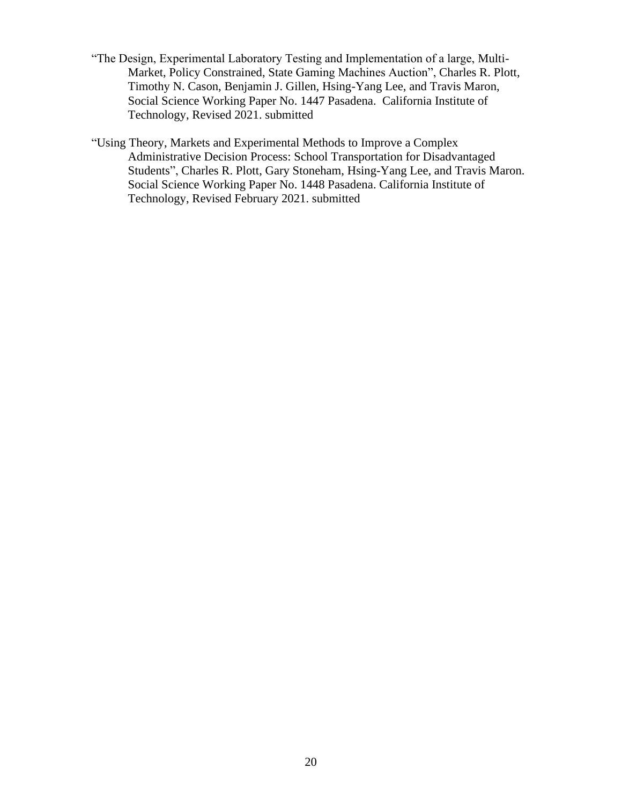- "The Design, Experimental Laboratory Testing and Implementation of a large, Multi-Market, Policy Constrained, State Gaming Machines Auction", Charles R. Plott, Timothy N. Cason, Benjamin J. Gillen, Hsing-Yang Lee, and Travis Maron, Social Science Working Paper No. 1447 Pasadena. California Institute of Technology, Revised 2021. submitted
- "Using Theory, Markets and Experimental Methods to Improve a Complex Administrative Decision Process: School Transportation for Disadvantaged Students", Charles R. Plott, Gary Stoneham, Hsing-Yang Lee, and Travis Maron. Social Science Working Paper No. 1448 Pasadena. California Institute of Technology, Revised February 2021. submitted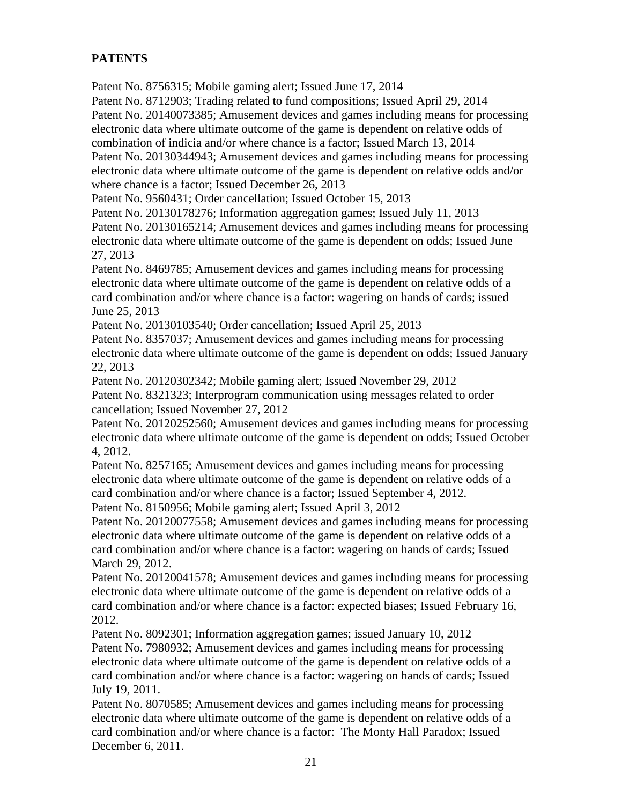# **PATENTS**

Patent No. 8756315; Mobile gaming alert; Issued June 17, 2014

Patent No. 8712903; Trading related to fund compositions; Issued April 29, 2014

Patent No. 20140073385; Amusement devices and games including means for processing electronic data where ultimate outcome of the game is dependent on relative odds of

combination of indicia and/or where chance is a factor; Issued March 13, 2014

Patent No. 20130344943; Amusement devices and games including means for processing electronic data where ultimate outcome of the game is dependent on relative odds and/or where chance is a factor; Issued December 26, 2013

Patent No. 9560431; Order cancellation; Issued October 15, 2013

Patent No. 20130178276; Information aggregation games; Issued July 11, 2013

Patent No. 20130165214; Amusement devices and games including means for processing electronic data where ultimate outcome of the game is dependent on odds; Issued June 27, 2013

Patent No. 8469785; Amusement devices and games including means for processing electronic data where ultimate outcome of the game is dependent on relative odds of a card combination and/or where chance is a factor: wagering on hands of cards; issued June 25, 2013

Patent No. 20130103540; Order cancellation; Issued April 25, 2013

Patent No. 8357037; Amusement devices and games including means for processing electronic data where ultimate outcome of the game is dependent on odds; Issued January 22, 2013

Patent No. 20120302342; Mobile gaming alert; Issued November 29, 2012

Patent No. 8321323; Interprogram communication using messages related to order cancellation; Issued November 27, 2012

Patent No. 20120252560; Amusement devices and games including means for processing electronic data where ultimate outcome of the game is dependent on odds; Issued October 4, 2012.

Patent No. 8257165; Amusement devices and games including means for processing electronic data where ultimate outcome of the game is dependent on relative odds of a card combination and/or where chance is a factor; Issued September 4, 2012.

Patent No. 8150956; Mobile gaming alert; Issued April 3, 2012

Patent No. 20120077558; Amusement devices and games including means for processing electronic data where ultimate outcome of the game is dependent on relative odds of a card combination and/or where chance is a factor: wagering on hands of cards; Issued March 29, 2012.

Patent No. 20120041578; Amusement devices and games including means for processing electronic data where ultimate outcome of the game is dependent on relative odds of a card combination and/or where chance is a factor: expected biases; Issued February 16, 2012.

Patent No. 8092301; Information aggregation games; issued January 10, 2012 Patent No. 7980932; [Amusement devices and games including means for processing](http://patents.justia.com/patent/7980932)  [electronic data where ultimate outcome of the game is dependent on relative odds of a](http://patents.justia.com/patent/7980932)  [card combination and/or where chance is a factor: wagering on hands of cards;](http://patents.justia.com/patent/7980932) Issued July 19, 2011.

Patent No. 8070585; Amusement devices and games including means for processing electronic data where ultimate outcome of the game is dependent on relative odds of a card combination and/or where chance is a factor: The Monty Hall Paradox; Issued December 6, 2011.